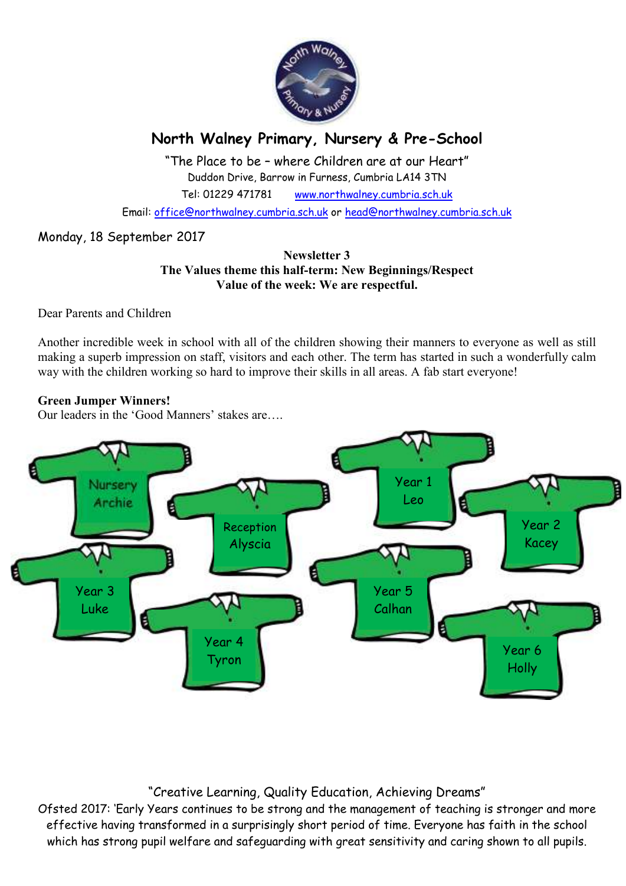

# **North Walney Primary, Nursery & Pre-School**

"The Place to be – where Children are at our Heart" Duddon Drive, Barrow in Furness, Cumbria LA14 3TN Tel: 01229 471781 www.northwalney.cumbria.sch.uk

Email: office@northwalney.cumbria.sch.uk or head@northwalney.cumbria.sch.uk

## Monday, 18 September 2017

## **Newsletter 3 The Values theme this half-term: New Beginnings/Respect Value of the week: We are respectful.**

Dear Parents and Children

Another incredible week in school with all of the children showing their manners to everyone as well as still making a superb impression on staff, visitors and each other. The term has started in such a wonderfully calm way with the children working so hard to improve their skills in all areas. A fab start everyone!

## **Green Jumper Winners!**

Our leaders in the 'Good Manners' stakes are….



## "Creative Learning, Quality Education, Achieving Dreams"

Ofsted 2017: 'Early Years continues to be strong and the management of teaching is stronger and more effective having transformed in a surprisingly short period of time. Everyone has faith in the school which has strong pupil welfare and safeguarding with great sensitivity and caring shown to all pupils.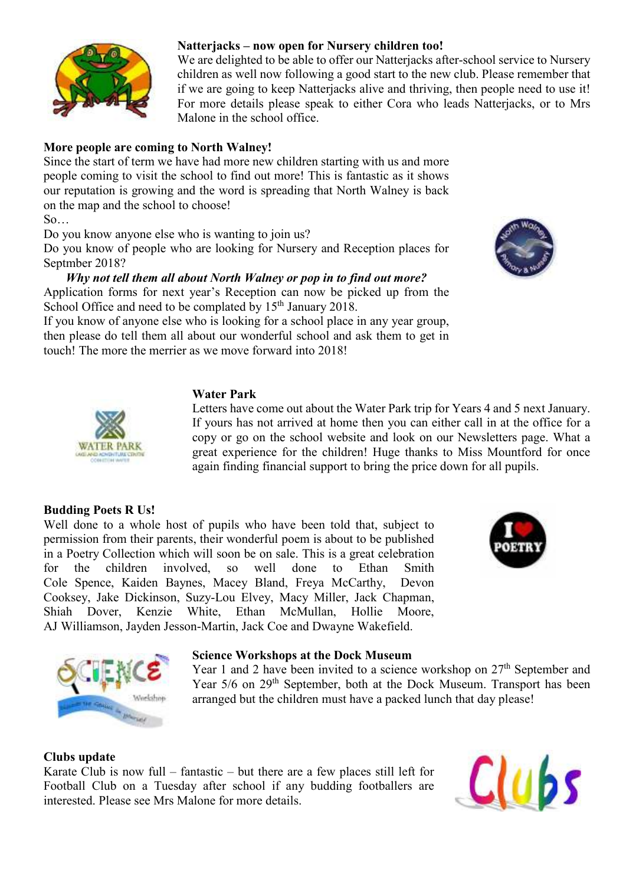

#### **Natterjacks – now open for Nursery children too!**

We are delighted to be able to offer our Natterjacks after-school service to Nursery children as well now following a good start to the new club. Please remember that if we are going to keep Natterjacks alive and thriving, then people need to use it! For more details please speak to either Cora who leads Natterjacks, or to Mrs Malone in the school office.

## **More people are coming to North Walney!**

Since the start of term we have had more new children starting with us and more people coming to visit the school to find out more! This is fantastic as it shows our reputation is growing and the word is spreading that North Walney is back on the map and the school to choose!

So…

Do you know anyone else who is wanting to join us?

Do you know of people who are looking for Nursery and Reception places for Septmber 2018?

## *Why not tell them all about North Walney or pop in to find out more?*

Application forms for next year's Reception can now be picked up from the School Office and need to be complated by  $15<sup>th</sup>$  January 2018.

If you know of anyone else who is looking for a school place in any year group, then please do tell them all about our wonderful school and ask them to get in touch! The more the merrier as we move forward into 2018!

## **Water Park**

Letters have come out about the Water Park trip for Years 4 and 5 next January. If yours has not arrived at home then you can either call in at the office for a copy or go on the school website and look on our Newsletters page. What a great experience for the children! Huge thanks to Miss Mountford for once again finding financial support to bring the price down for all pupils.

#### **Budding Poets R Us!**

Well done to a whole host of pupils who have been told that, subject to permission from their parents, their wonderful poem is about to be published in a Poetry Collection which will soon be on sale. This is a great celebration for the children involved, so well done to Ethan Smith Cole Spence, Kaiden Baynes, Macey Bland, Freya McCarthy, Devon Cooksey, Jake Dickinson, Suzy-Lou Elvey, Macy Miller, Jack Chapman, Shiah Dover, Kenzie White, Ethan McMullan, Hollie Moore, AJ Williamson, Jayden Jesson-Martin, Jack Coe and Dwayne Wakefield.



#### **Science Workshops at the Dock Museum**

Year 1 and 2 have been invited to a science workshop on  $27<sup>th</sup>$  September and Year 5/6 on 29<sup>th</sup> September, both at the Dock Museum. Transport has been arranged but the children must have a packed lunch that day please!

#### **Clubs update**

Karate Club is now full – fantastic – but there are a few places still left for Football Club on a Tuesday after school if any budding footballers are interested. Please see Mrs Malone for more details.